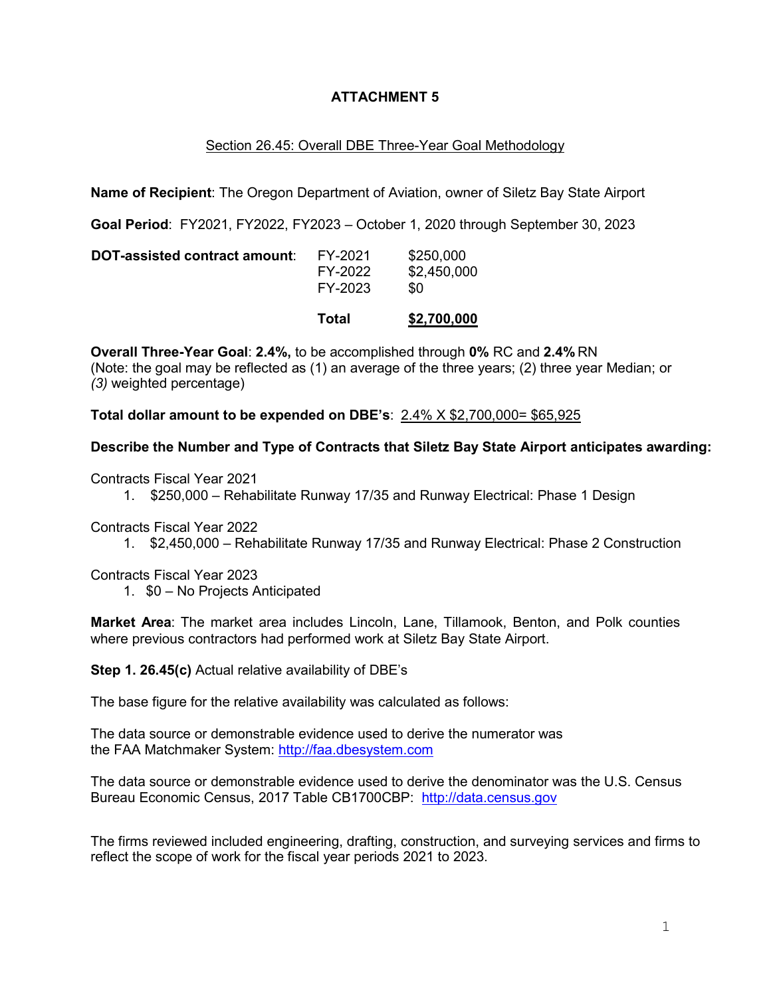## **ATTACHMENT 5**

## Section 26.45: Overall DBE Three-Year Goal Methodology

**Name of Recipient**: The Oregon Department of Aviation, owner of Siletz Bay State Airport

**Goal Period**: FY2021, FY2022, FY2023 – October 1, 2020 through September 30, 2023

|                               | Total                         | \$2,700,000                     |
|-------------------------------|-------------------------------|---------------------------------|
| DOT-assisted contract amount: | FY-2021<br>FY-2022<br>FY-2023 | \$250,000<br>\$2,450,000<br>\$0 |

**Overall Three-Year Goal**: **2.4%,** to be accomplished through **0%** RC and **2.4%** RN (Note: the goal may be reflected as (1) an average of the three years; (2) three year Median; or *(3)* weighted percentage)

**Total dollar amount to be expended on DBE's**: 2.4% X \$2,700,000= \$65,925

## **Describe the Number and Type of Contracts that Siletz Bay State Airport anticipates awarding:**

Contracts Fiscal Year 2021

1. \$250,000 – Rehabilitate Runway 17/35 and Runway Electrical: Phase 1 Design

Contracts Fiscal Year 2022

1. \$2,450,000 – Rehabilitate Runway 17/35 and Runway Electrical: Phase 2 Construction

Contracts Fiscal Year 2023

1. \$0 – No Projects Anticipated

**Market Area**: The market area includes Lincoln, Lane, Tillamook, Benton, and Polk counties where previous contractors had performed work at Siletz Bay State Airport.

**Step 1. 26.45(c)** Actual relative availability of DBE's

The base figure for the relative availability was calculated as follows:

The data source or demonstrable evidence used to derive the numerator was the FAA Matchmaker System: [http://faa.dbesystem.com](http://faa.dbesystem.com/)

The data source or demonstrable evidence used to derive the denominator was the U.S. Census Bureau Economic Census, 2017 Table CB1700CBP: [http://data.census.gov](http://data.census.gov/)

The firms reviewed included engineering, drafting, construction, and surveying services and firms to reflect the scope of work for the fiscal year periods 2021 to 2023.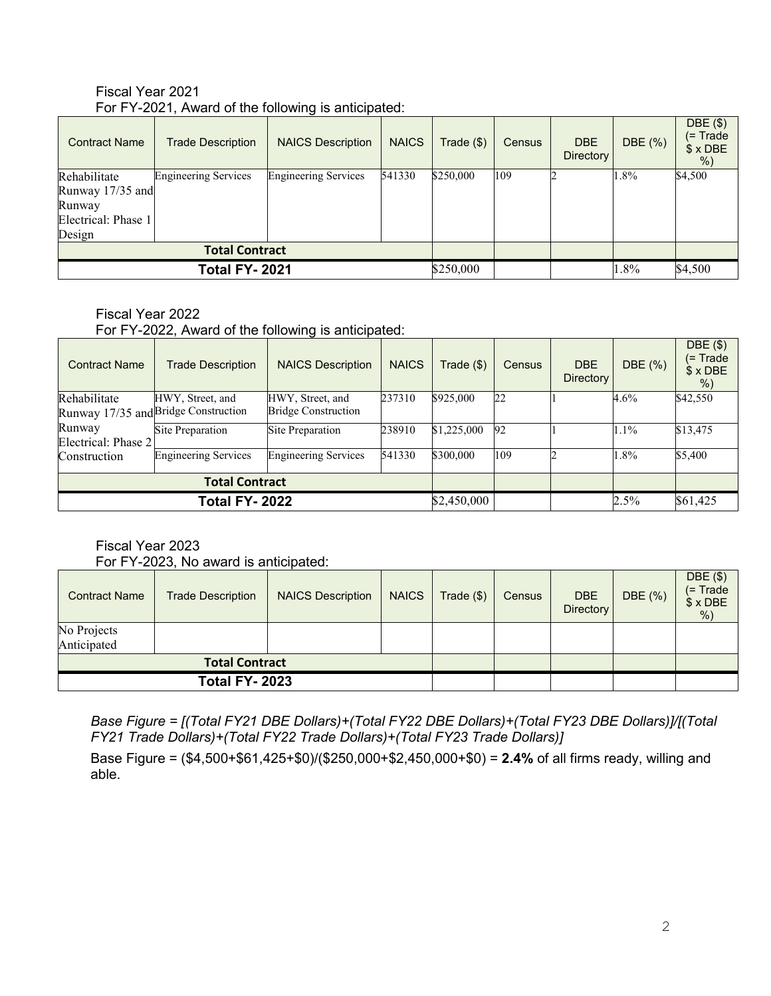| <b>Contract Name</b>  | <b>Trade Description</b>    | <b>NAICS Description</b>    | <b>NAICS</b> | Trade (\$) | Census | <b>DBE</b>       | DBE (%) | DBE (\$)<br>(= Trade |
|-----------------------|-----------------------------|-----------------------------|--------------|------------|--------|------------------|---------|----------------------|
|                       |                             |                             |              |            |        | <b>Directory</b> |         | $$ \times$ DBE<br>%  |
| Rehabilitate          | <b>Engineering Services</b> | <b>Engineering Services</b> | 541330       | \$250,000  | 109    |                  | 1.8%    | \$4,500              |
| Runway 17/35 and      |                             |                             |              |            |        |                  |         |                      |
| Runway                |                             |                             |              |            |        |                  |         |                      |
| Electrical: Phase 1   |                             |                             |              |            |        |                  |         |                      |
| Design                |                             |                             |              |            |        |                  |         |                      |
| <b>Total Contract</b> |                             |                             |              |            |        |                  |         |                      |
| <b>Total FY-2021</b>  |                             | \$250,000                   |              |            | 1.8%   | \$4,500          |         |                      |

## Fiscal Year 2021 For FY-2021, Award of the following is anticipated:

#### Fiscal Year 2022

For FY-2022, Award of the following is anticipated:

| <b>Contract Name</b>  | <b>Trade Description</b>             | <b>NAICS Description</b>    | <b>NAICS</b> | Trade (\$)  | Census | <b>DBE</b><br><b>Directory</b> | DBE (%)  | DBE(\$)<br>(= Trade<br>$$ \times$ DBE<br>$%$ ) |
|-----------------------|--------------------------------------|-----------------------------|--------------|-------------|--------|--------------------------------|----------|------------------------------------------------|
| Rehabilitate          | HWY, Street, and                     | HWY, Street, and            | 237310       | \$925,000   | 22     |                                | 4.6%     | \$42,550                                       |
|                       | Runway 17/35 and Bridge Construction | <b>Bridge Construction</b>  |              |             |        |                                |          |                                                |
| Runway                | Site Preparation                     | Site Preparation            | 238910       | \$1,225,000 | 92     |                                | 1.1%     | \$13,475                                       |
| Electrical: Phase 2   |                                      |                             |              |             |        |                                |          |                                                |
| Construction          | <b>Engineering Services</b>          | <b>Engineering Services</b> | 541330       | \$300,000   | 109    |                                | 1.8%     | \$5,400                                        |
|                       | <b>Total Contract</b>                |                             |              |             |        |                                |          |                                                |
| <b>Total FY- 2022</b> |                                      |                             | \$2,450,000  |             |        | 2.5%                           | \$61,425 |                                                |

Fiscal Year 2023

For FY-2023, No award is anticipated:

| <b>Contract Name</b>       | <b>Trade Description</b> | <b>NAICS Description</b> | <b>NAICS</b> | Trade ( \$) | Census | <b>DBE</b><br><b>Directory</b> | DBE (%) | $DBE($ \$)<br>$($ = Trade<br>$$×$ DBE<br>% |
|----------------------------|--------------------------|--------------------------|--------------|-------------|--------|--------------------------------|---------|--------------------------------------------|
| No Projects<br>Anticipated |                          |                          |              |             |        |                                |         |                                            |
| <b>Total Contract</b>      |                          |                          |              |             |        |                                |         |                                            |
| <b>Total FY-2023</b>       |                          |                          |              |             |        |                                |         |                                            |

*Base Figure = [(Total FY21 DBE Dollars)+(Total FY22 DBE Dollars)+(Total FY23 DBE Dollars)]/[(Total FY21 Trade Dollars)+(Total FY22 Trade Dollars)+(Total FY23 Trade Dollars)]*

Base Figure = (\$4,500+\$61,425+\$0)/(\$250,000+\$2,450,000+\$0) = **2.4%** of all firms ready, willing and able.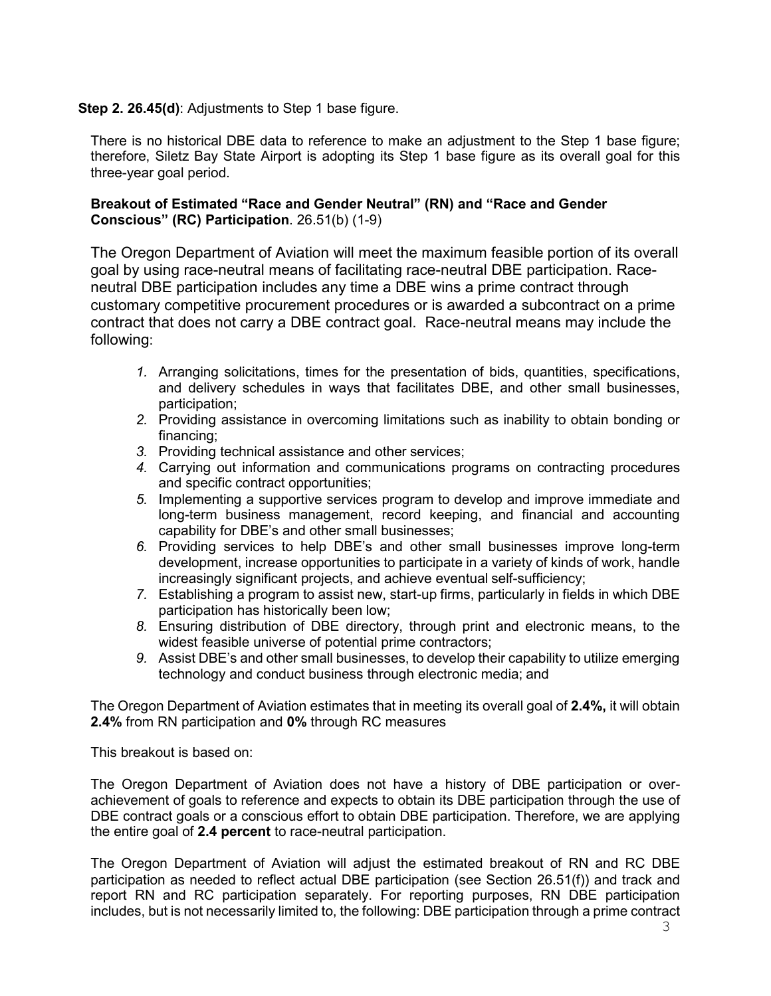## **Step 2. 26.45(d)**: Adjustments to Step 1 base figure.

There is no historical DBE data to reference to make an adjustment to the Step 1 base figure; therefore, Siletz Bay State Airport is adopting its Step 1 base figure as its overall goal for this three-year goal period.

#### **Breakout of Estimated "Race and Gender Neutral" (RN) and "Race and Gender Conscious" (RC) Participation**. 26.51(b) (1-9)

The Oregon Department of Aviation will meet the maximum feasible portion of its overall goal by using race-neutral means of facilitating race-neutral DBE participation. Raceneutral DBE participation includes any time a DBE wins a prime contract through customary competitive procurement procedures or is awarded a subcontract on a prime contract that does not carry a DBE contract goal. Race-neutral means may include the following:

- *1.* Arranging solicitations, times for the presentation of bids, quantities, specifications, and delivery schedules in ways that facilitates DBE, and other small businesses, participation;
- *2.* Providing assistance in overcoming limitations such as inability to obtain bonding or financing;
- *3.* Providing technical assistance and other services;
- *4.* Carrying out information and communications programs on contracting procedures and specific contract opportunities;
- *5.* Implementing a supportive services program to develop and improve immediate and long-term business management, record keeping, and financial and accounting capability for DBE's and other small businesses;
- *6.* Providing services to help DBE's and other small businesses improve long-term development, increase opportunities to participate in a variety of kinds of work, handle increasingly significant projects, and achieve eventual self-sufficiency;
- *7.* Establishing a program to assist new, start-up firms, particularly in fields in which DBE participation has historically been low;
- *8.* Ensuring distribution of DBE directory, through print and electronic means, to the widest feasible universe of potential prime contractors;
- *9.* Assist DBE's and other small businesses, to develop their capability to utilize emerging technology and conduct business through electronic media; and

The Oregon Department of Aviation estimates that in meeting its overall goal of **2.4%,** it will obtain **2.4%** from RN participation and **0%** through RC measures

This breakout is based on:

The Oregon Department of Aviation does not have a history of DBE participation or overachievement of goals to reference and expects to obtain its DBE participation through the use of DBE contract goals or a conscious effort to obtain DBE participation. Therefore, we are applying the entire goal of **2.4 percent** to race-neutral participation.

The Oregon Department of Aviation will adjust the estimated breakout of RN and RC DBE participation as needed to reflect actual DBE participation (see Section 26.51(f)) and track and report RN and RC participation separately. For reporting purposes, RN DBE participation includes, but is not necessarily limited to, the following: DBE participation through a prime contract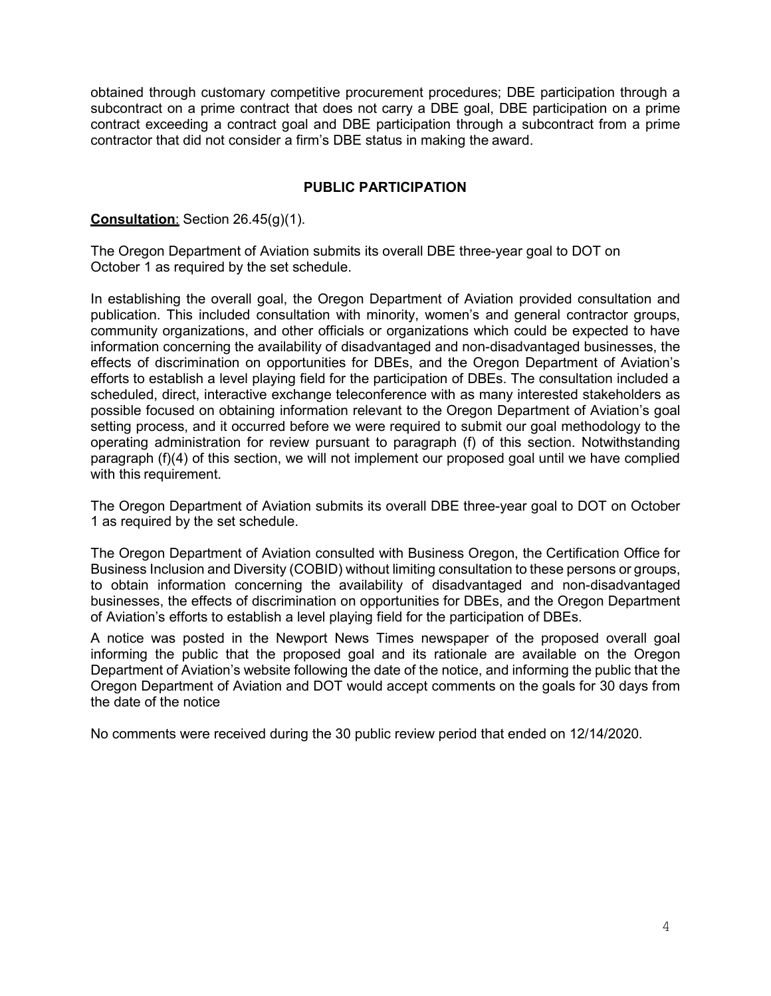obtained through customary competitive procurement procedures; DBE participation through a subcontract on a prime contract that does not carry a DBE goal, DBE participation on a prime contract exceeding a contract goal and DBE participation through a subcontract from a prime contractor that did not consider a firm's DBE status in making the award.

## **PUBLIC PARTICIPATION**

#### **Consultation**: Section 26.45(g)(1).

The Oregon Department of Aviation submits its overall DBE three-year goal to DOT on October 1 as required by the set schedule.

In establishing the overall goal, the Oregon Department of Aviation provided consultation and publication. This included consultation with minority, women's and general contractor groups, community organizations, and other officials or organizations which could be expected to have information concerning the availability of disadvantaged and non-disadvantaged businesses, the effects of discrimination on opportunities for DBEs, and the Oregon Department of Aviation's efforts to establish a level playing field for the participation of DBEs. The consultation included a scheduled, direct, interactive exchange teleconference with as many interested stakeholders as possible focused on obtaining information relevant to the Oregon Department of Aviation's goal setting process, and it occurred before we were required to submit our goal methodology to the operating administration for review pursuant to paragraph (f) of this section. Notwithstanding paragraph (f)(4) of this section, we will not implement our proposed goal until we have complied with this requirement.

The Oregon Department of Aviation submits its overall DBE three-year goal to DOT on October 1 as required by the set schedule.

The Oregon Department of Aviation consulted with Business Oregon, the Certification Office for Business Inclusion and Diversity (COBID) without limiting consultation to these persons or groups, to obtain information concerning the availability of disadvantaged and non-disadvantaged businesses, the effects of discrimination on opportunities for DBEs, and the Oregon Department of Aviation's efforts to establish a level playing field for the participation of DBEs.

A notice was posted in the Newport News Times newspaper of the proposed overall goal informing the public that the proposed goal and its rationale are available on the Oregon Department of Aviation's website following the date of the notice, and informing the public that the Oregon Department of Aviation and DOT would accept comments on the goals for 30 days from the date of the notice

No comments were received during the 30 public review period that ended on 12/14/2020.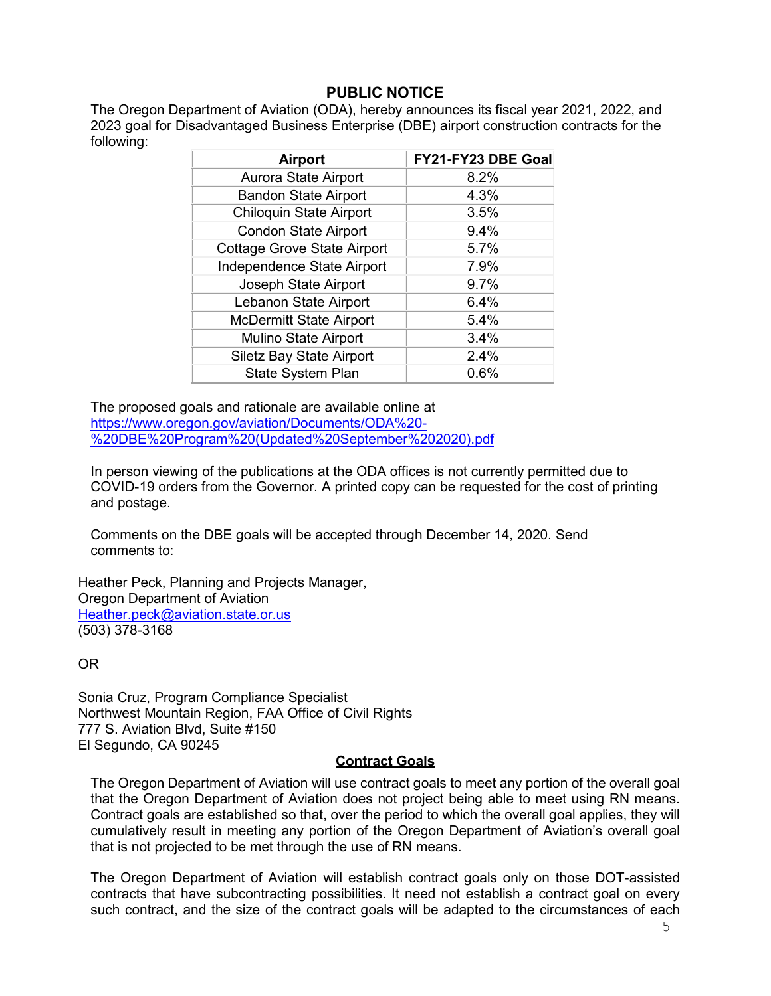# **PUBLIC NOTICE**

The Oregon Department of Aviation (ODA), hereby announces its fiscal year 2021, 2022, and 2023 goal for Disadvantaged Business Enterprise (DBE) airport construction contracts for the following:

| <b>Airport</b>                     | FY21-FY23 DBE Goal |
|------------------------------------|--------------------|
| Aurora State Airport               | 8.2%               |
| <b>Bandon State Airport</b>        | 4.3%               |
| <b>Chiloquin State Airport</b>     | 3.5%               |
| <b>Condon State Airport</b>        | 9.4%               |
| <b>Cottage Grove State Airport</b> | 5.7%               |
| Independence State Airport         | 7.9%               |
| Joseph State Airport               | 9.7%               |
| Lebanon State Airport              | 6.4%               |
| <b>McDermitt State Airport</b>     | 5.4%               |
| <b>Mulino State Airport</b>        | 3.4%               |
| <b>Siletz Bay State Airport</b>    | 2.4%               |
| <b>State System Plan</b>           | 0.6%               |

The proposed goals and rationale are available online at [https://www.oregon.gov/aviation/Documents/ODA%20-](https://www.oregon.gov/aviation/Documents/ODA%20-%20DBE%20Program%20(Updated%20September%202020).pdf) [%20DBE%20Program%20\(Updated%20September%202020\).pdf](https://www.oregon.gov/aviation/Documents/ODA%20-%20DBE%20Program%20(Updated%20September%202020).pdf)

In person viewing of the publications at the ODA offices is not currently permitted due to COVID-19 orders from the Governor. A printed copy can be requested for the cost of printing and postage.

Comments on the DBE goals will be accepted through December 14, 2020. Send comments to:

Heather Peck, Planning and Projects Manager, Oregon Department of Aviation [Heather.peck@aviation.state.or.us](mailto:Heather.peck@aviation.state.or.us) (503) 378-3168

OR

Sonia Cruz, Program Compliance Specialist Northwest Mountain Region, FAA Office of Civil Rights 777 S. Aviation Blvd, Suite #150 El Segundo, CA 90245

#### **Contract Goals**

The Oregon Department of Aviation will use contract goals to meet any portion of the overall goal that the Oregon Department of Aviation does not project being able to meet using RN means. Contract goals are established so that, over the period to which the overall goal applies, they will cumulatively result in meeting any portion of the Oregon Department of Aviation's overall goal that is not projected to be met through the use of RN means.

The Oregon Department of Aviation will establish contract goals only on those DOT-assisted contracts that have subcontracting possibilities. It need not establish a contract goal on every such contract, and the size of the contract goals will be adapted to the circumstances of each